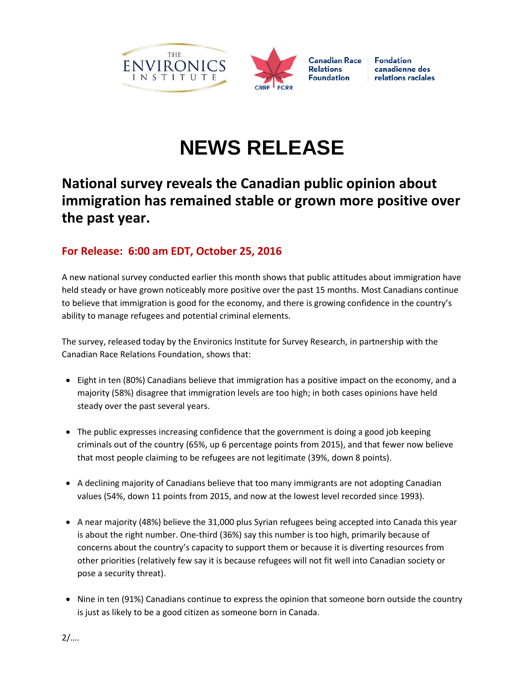



**Fondation** canadienne des relations raciales

## **NEWS RELEASE**

## **National survey reveals the Canadian public opinion about immigration has remained stable or grown more positive over the past year.**

## **For Release: 6:00 am EDT, October 25, 2016**

A new national survey conducted earlier this month shows that public attitudes about immigration have held steady or have grown noticeably more positive over the past 15 months. Most Canadians continue to believe that immigration is good for the economy, and there is growing confidence in the country's ability to manage refugees and potential criminal elements.

The survey, released today by the Environics Institute for Survey Research, in partnership with the Canadian Race Relations Foundation, shows that:

- Eight in ten (80%) Canadians believe that immigration has a positive impact on the economy, and a majority (58%) disagree that immigration levels are too high; in both cases opinions have held steady over the past several years.
- The public expresses increasing confidence that the government is doing a good job keeping criminals out of the country (65%, up 6 percentage points from 2015), and that fewer now believe that most people claiming to be refugees are not legitimate (39%, down 8 points).
- A declining majority of Canadians believe that too many immigrants are not adopting Canadian values (54%, down 11 points from 2015, and now at the lowest level recorded since 1993).
- A near majority (48%) believe the 31,000 plus Syrian refugees being accepted into Canada this year is about the right number. One-third (36%) say this number is too high, primarily because of concerns about the country's capacity to support them or because it is diverting resources from other priorities (relatively few say it is because refugees will not fit well into Canadian society or pose a security threat).
- Nine in ten (91%) Canadians continue to express the opinion that someone born outside the country is just as likely to be a good citizen as someone born in Canada.